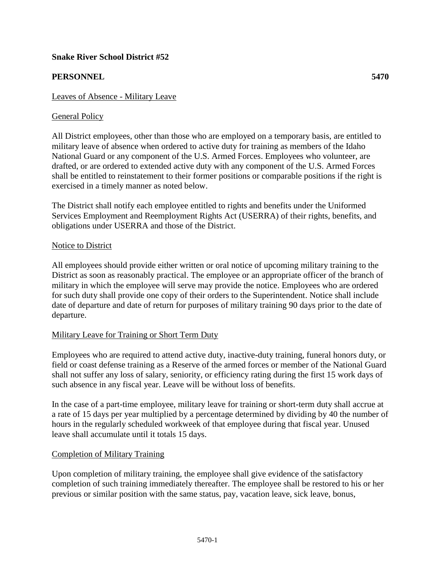# **Snake River School District #52**

# **PERSONNEL 5470**

## Leaves of Absence - Military Leave

## General Policy

All District employees, other than those who are employed on a temporary basis, are entitled to military leave of absence when ordered to active duty for training as members of the Idaho National Guard or any component of the U.S. Armed Forces. Employees who volunteer, are drafted, or are ordered to extended active duty with any component of the U.S. Armed Forces shall be entitled to reinstatement to their former positions or comparable positions if the right is exercised in a timely manner as noted below.

The District shall notify each employee entitled to rights and benefits under the Uniformed Services Employment and Reemployment Rights Act (USERRA) of their rights, benefits, and obligations under USERRA and those of the District.

## Notice to District

All employees should provide either written or oral notice of upcoming military training to the District as soon as reasonably practical. The employee or an appropriate officer of the branch of military in which the employee will serve may provide the notice. Employees who are ordered for such duty shall provide one copy of their orders to the Superintendent. Notice shall include date of departure and date of return for purposes of military training 90 days prior to the date of departure.

## Military Leave for Training or Short Term Duty

Employees who are required to attend active duty, inactive-duty training, funeral honors duty, or field or coast defense training as a Reserve of the armed forces or member of the National Guard shall not suffer any loss of salary, seniority, or efficiency rating during the first 15 work days of such absence in any fiscal year. Leave will be without loss of benefits.

In the case of a part-time employee, military leave for training or short-term duty shall accrue at a rate of 15 days per year multiplied by a percentage determined by dividing by 40 the number of hours in the regularly scheduled workweek of that employee during that fiscal year. Unused leave shall accumulate until it totals 15 days.

#### Completion of Military Training

Upon completion of military training, the employee shall give evidence of the satisfactory completion of such training immediately thereafter. The employee shall be restored to his or her previous or similar position with the same status, pay, vacation leave, sick leave, bonus,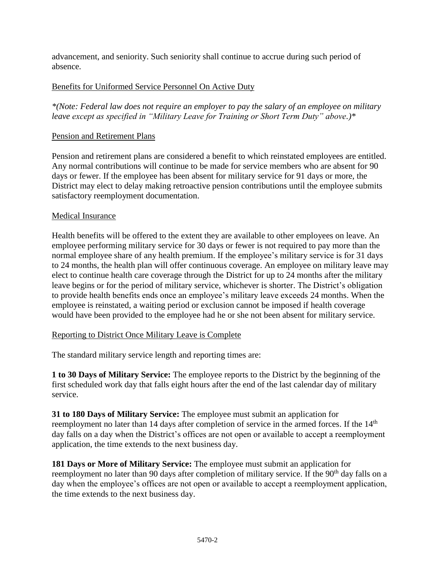advancement, and seniority. Such seniority shall continue to accrue during such period of absence.

# Benefits for Uniformed Service Personnel On Active Duty

*\*(Note: Federal law does not require an employer to pay the salary of an employee on military leave except as specified in "Military Leave for Training or Short Term Duty" above.)\**

# Pension and Retirement Plans

Pension and retirement plans are considered a benefit to which reinstated employees are entitled. Any normal contributions will continue to be made for service members who are absent for 90 days or fewer. If the employee has been absent for military service for 91 days or more, the District may elect to delay making retroactive pension contributions until the employee submits satisfactory reemployment documentation.

## Medical Insurance

Health benefits will be offered to the extent they are available to other employees on leave. An employee performing military service for 30 days or fewer is not required to pay more than the normal employee share of any health premium. If the employee's military service is for 31 days to 24 months, the health plan will offer continuous coverage. An employee on military leave may elect to continue health care coverage through the District for up to 24 months after the military leave begins or for the period of military service, whichever is shorter. The District's obligation to provide health benefits ends once an employee's military leave exceeds 24 months. When the employee is reinstated, a waiting period or exclusion cannot be imposed if health coverage would have been provided to the employee had he or she not been absent for military service.

## Reporting to District Once Military Leave is Complete

The standard military service length and reporting times are:

**1 to 30 Days of Military Service:** The employee reports to the District by the beginning of the first scheduled work day that falls eight hours after the end of the last calendar day of military service.

**31 to 180 Days of Military Service:** The employee must submit an application for reemployment no later than 14 days after completion of service in the armed forces. If the 14<sup>th</sup> day falls on a day when the District's offices are not open or available to accept a reemployment application, the time extends to the next business day.

**181 Days or More of Military Service:** The employee must submit an application for reemployment no later than 90 days after completion of military service. If the 90<sup>th</sup> day falls on a day when the employee's offices are not open or available to accept a reemployment application, the time extends to the next business day.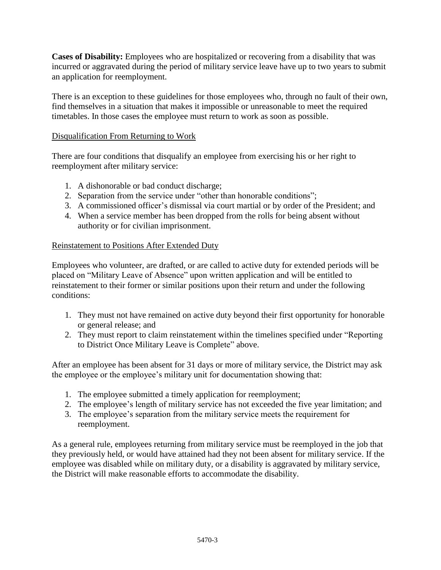**Cases of Disability:** Employees who are hospitalized or recovering from a disability that was incurred or aggravated during the period of military service leave have up to two years to submit an application for reemployment.

There is an exception to these guidelines for those employees who, through no fault of their own, find themselves in a situation that makes it impossible or unreasonable to meet the required timetables. In those cases the employee must return to work as soon as possible.

# Disqualification From Returning to Work

There are four conditions that disqualify an employee from exercising his or her right to reemployment after military service:

- 1. A dishonorable or bad conduct discharge;
- 2. Separation from the service under "other than honorable conditions";
- 3. A commissioned officer's dismissal via court martial or by order of the President; and
- 4. When a service member has been dropped from the rolls for being absent without authority or for civilian imprisonment.

## Reinstatement to Positions After Extended Duty

Employees who volunteer, are drafted, or are called to active duty for extended periods will be placed on "Military Leave of Absence" upon written application and will be entitled to reinstatement to their former or similar positions upon their return and under the following conditions:

- 1. They must not have remained on active duty beyond their first opportunity for honorable or general release; and
- 2. They must report to claim reinstatement within the timelines specified under "Reporting to District Once Military Leave is Complete" above.

After an employee has been absent for 31 days or more of military service, the District may ask the employee or the employee's military unit for documentation showing that:

- 1. The employee submitted a timely application for reemployment;
- 2. The employee's length of military service has not exceeded the five year limitation; and
- 3. The employee's separation from the military service meets the requirement for reemployment.

As a general rule, employees returning from military service must be reemployed in the job that they previously held, or would have attained had they not been absent for military service. If the employee was disabled while on military duty, or a disability is aggravated by military service, the District will make reasonable efforts to accommodate the disability.